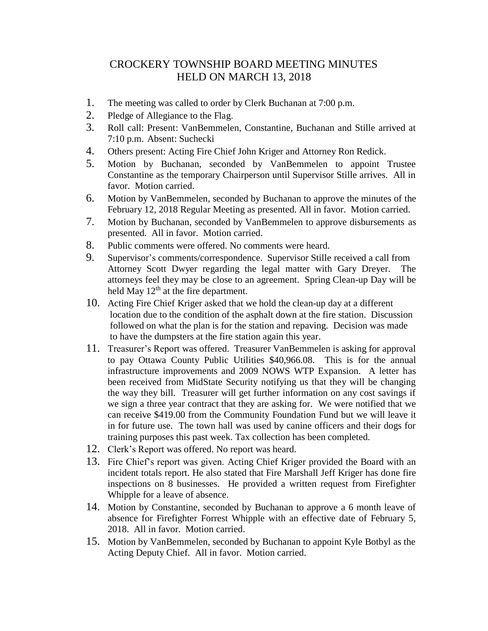## CROCKERY TOWNSHIP BOARD MEETING MINUTES HELD ON MARCH 13, 2018

- 1. The meeting was called to order by Clerk Buchanan at 7:00 p.m.
- 2. Pledge of Allegiance to the Flag.
- 3. Roll call: Present: VanBemmelen, Constantine, Buchanan and Stille arrived at 7:10 p.m. Absent: Suchecki
- 4. Others present: Acting Fire Chief John Kriger and Attorney Ron Redick.
- 5. Motion by Buchanan, seconded by VanBemmelen to appoint Trustee Constantine as the temporary Chairperson until Supervisor Stille arrives. All in favor. Motion carried.
- 6. Motion by VanBemmelen, seconded by Buchanan to approve the minutes of the February 12, 2018 Regular Meeting as presented. All in favor. Motion carried.
- 7. Motion by Buchanan, seconded by VanBemmelen to approve disbursements as presented. All in favor. Motion carried.
- 8. Public comments were offered. No comments were heard.
- 9. Supervisor's comments/correspondence. Supervisor Stille received a call from Attorney Scott Dwyer regarding the legal matter with Gary Dreyer. The attorneys feel they may be close to an agreement. Spring Clean-up Day will be held May  $12<sup>th</sup>$  at the fire department.
- 10. Acting Fire Chief Kriger asked that we hold the clean-up day at a different location due to the condition of the asphalt down at the fire station. Discussion followed on what the plan is for the station and repaving. Decision was made to have the dumpsters at the fire station again this year.
- 11. Treasurer's Report was offered. Treasurer VanBemmelen is asking for approval to pay Ottawa County Public Utilities \$40,966.08. This is for the annual infrastructure improvements and 2009 NOWS WTP Expansion. A letter has been received from MidState Security notifying us that they will be changing the way they bill. Treasurer will get further information on any cost savings if we sign a three year contract that they are asking for. We were notified that we can receive \$419.00 from the Community Foundation Fund but we will leave it in for future use. The town hall was used by canine officers and their dogs for training purposes this past week. Tax collection has been completed.
- 12. Clerk's Report was offered. No report was heard.
- 13. Fire Chief's report was given. Acting Chief Kriger provided the Board with an incident totals report. He also stated that Fire Marshall Jeff Kriger has done fire inspections on 8 businesses. He provided a written request from Firefighter Whipple for a leave of absence.
- 14. Motion by Constantine, seconded by Buchanan to approve a 6 month leave of absence for Firefighter Forrest Whipple with an effective date of February 5, 2018. All in favor. Motion carried.
- 15. Motion by VanBemmelen, seconded by Buchanan to appoint Kyle Botbyl as the Acting Deputy Chief. All in favor. Motion carried.